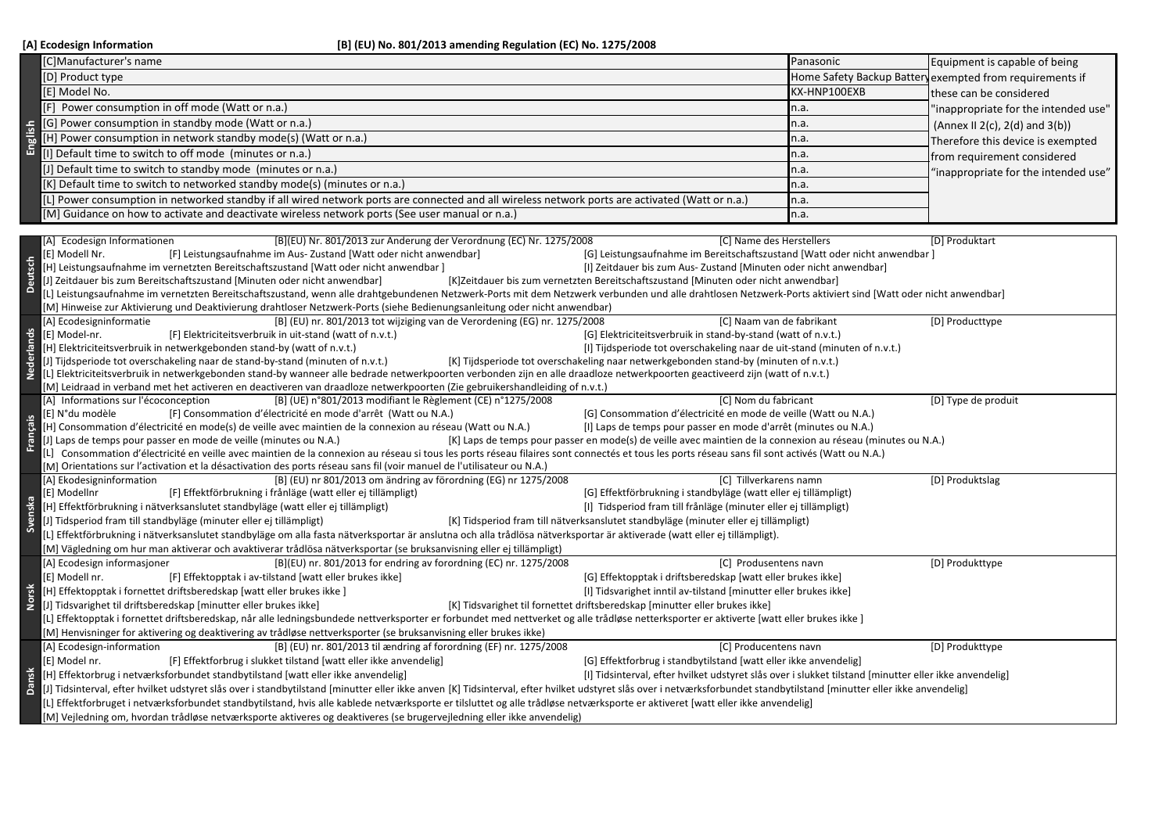|              | [C]Manufacturer's name                                                                                                                                                                                                                                                                                                    | Panasonic    | Equipment is capable of being                                   |  |  |  |
|--------------|---------------------------------------------------------------------------------------------------------------------------------------------------------------------------------------------------------------------------------------------------------------------------------------------------------------------------|--------------|-----------------------------------------------------------------|--|--|--|
|              | [D] Product type                                                                                                                                                                                                                                                                                                          |              | Home Safety Backup Batter exempted from requirements if         |  |  |  |
|              | [E] Model No.                                                                                                                                                                                                                                                                                                             | KX-HNP100EXB | these can be considered<br>"inappropriate for the intended use" |  |  |  |
|              | [F] Power consumption in off mode (Watt or n.a.)                                                                                                                                                                                                                                                                          | n.a.         |                                                                 |  |  |  |
|              | [G] Power consumption in standby mode (Watt or n.a.)<br>n.a.                                                                                                                                                                                                                                                              |              | (Annex II 2(c), 2(d) and 3(b))                                  |  |  |  |
| English      | [H] Power consumption in network standby mode(s) (Watt or n.a.)                                                                                                                                                                                                                                                           |              |                                                                 |  |  |  |
|              | n.a.<br>[I] Default time to switch to off mode (minutes or n.a.)                                                                                                                                                                                                                                                          |              | Therefore this device is exempted                               |  |  |  |
|              | [J] Default time to switch to standby mode (minutes or n.a.)                                                                                                                                                                                                                                                              | n.a.         | from requirement considered                                     |  |  |  |
|              |                                                                                                                                                                                                                                                                                                                           | n.a.         | "inappropriate for the intended use"                            |  |  |  |
|              | [K] Default time to switch to networked standby mode(s) (minutes or n.a.)                                                                                                                                                                                                                                                 | n.a.         |                                                                 |  |  |  |
|              | [L.] Power consumption in networked standby if all wired network ports are connected and all wireless network ports are activated (Watt or n.a.)                                                                                                                                                                          | n.a.         |                                                                 |  |  |  |
|              | [M] Guidance on how to activate and deactivate wireless network ports (See user manual or n.a.)                                                                                                                                                                                                                           | n.a.         |                                                                 |  |  |  |
|              | [A] Ecodesign Informationen<br>[B](EU) Nr. 801/2013 zur Änderung der Verordnung (EC) Nr. 1275/2008<br>[C] Name des Herstellers                                                                                                                                                                                            |              | [D] Produktart                                                  |  |  |  |
|              | [F] Leistungsaufnahme im Aus-Zustand [Watt oder nicht anwendbar]<br>[G] Leistungsaufnahme im Bereitschaftszustand [Watt oder nicht anwendbar]<br>[E] Modell Nr.                                                                                                                                                           |              |                                                                 |  |  |  |
| Deutsch      | [H] Leistungsaufnahme im vernetzten Bereitschaftszustand [Watt oder nicht anwendbar]<br>[I] Zeitdauer bis zum Aus- Zustand [Minuten oder nicht anwendbar]                                                                                                                                                                 |              |                                                                 |  |  |  |
|              | J] Zeitdauer bis zum Bereitschaftszustand [Minuten oder nicht anwendbar]<br>[K]Zeitdauer bis zum vernetzten Bereitschaftszustand [Minuten oder nicht anwendbar]                                                                                                                                                           |              |                                                                 |  |  |  |
|              | L] Leistungsaufnahme im vernetzten Bereitschaftszustand, wenn alle drahtgebundenen Netzwerk-Ports mit dem Netzwerk verbunden und alle drahtlosen Netzwerk-Ports aktiviert sind [Watt oder nicht anwendbar]                                                                                                                |              |                                                                 |  |  |  |
|              | [M] Hinweise zur Aktivierung und Deaktivierung drahtloser Netzwerk-Ports (siehe Bedienungsanleitung oder nicht anwendbar)                                                                                                                                                                                                 |              |                                                                 |  |  |  |
|              | [B] (EU) nr. 801/2013 tot wijziging van de Verordening (EG) nr. 1275/2008<br>[A] Ecodesigninformatie<br>[C] Naam van de fabrikant                                                                                                                                                                                         |              | [D] Producttype                                                 |  |  |  |
|              | [E] Model-nr.<br>[F] Elektriciteitsverbruik in uit-stand (watt of n.v.t.)<br>[G] Elektriciteitsverbruik in stand-by-stand (watt of n.v.t.)                                                                                                                                                                                |              |                                                                 |  |  |  |
| Nederlands   | [H] Elektriciteitsverbruik in netwerkgebonden stand-by (watt of n.v.t.)<br>[I] Tijdsperiode tot overschakeling naar de uit-stand (minuten of n.v.t.)                                                                                                                                                                      |              |                                                                 |  |  |  |
|              | [J] Tijdsperiode tot overschakeling naar de stand-by-stand (minuten of n.v.t.)<br>[K] Tijdsperiode tot overschakeling naar netwerkgebonden stand-by (minuten of n.v.t.)                                                                                                                                                   |              |                                                                 |  |  |  |
|              | [L] Elektriciteitsverbruik in netwerkgebonden stand-by wanneer alle bedrade netwerkpoorten verbonden zijn en alle draadloze netwerkpoorten geactiveerd zijn (watt of n.v.t.)                                                                                                                                              |              |                                                                 |  |  |  |
|              | [M] Leidraad in verband met het activeren en deactiveren van draadloze netwerkpoorten (Zie gebruikershandleiding of n.v.t.)                                                                                                                                                                                               |              |                                                                 |  |  |  |
|              | [A] Informations sur l'écoconception<br>[B] (UE) n°801/2013 modifiant le Règlement (CE) n°1275/2008<br>[C] Nom du fabricant                                                                                                                                                                                               |              | [D] Type de produit                                             |  |  |  |
|              | [G] Consommation d'électricité en mode de veille (Watt ou N.A.)<br>[E] N°du modèle<br>[F] Consommation d'électricité en mode d'arrêt (Watt ou N.A.)                                                                                                                                                                       |              |                                                                 |  |  |  |
| Français     | [H] Consommation d'électricité en mode(s) de veille avec maintien de la connexion au réseau (Watt ou N.A.)<br>[I] Laps de temps pour passer en mode d'arrêt (minutes ou N.A.)                                                                                                                                             |              |                                                                 |  |  |  |
|              | [J] Laps de temps pour passer en mode de veille (minutes ou N.A.)<br>[K] Laps de temps pour passer en mode(s) de veille avec maintien de la connexion au réseau (minutes ou N.A.)                                                                                                                                         |              |                                                                 |  |  |  |
|              | [L] Consommation d'électricité en veille avec maintien de la connexion au réseau si tous les ports réseau filaires sont connectés et tous les ports réseau sans fil sont activés (Watt ou N.A.)<br>[M] Orientations sur l'activation et la désactivation des ports réseau sans fil (voir manuel de l'utilisateur ou N.A.) |              |                                                                 |  |  |  |
|              | [B] (EU) nr 801/2013 om ändring av förordning (EG) nr 1275/2008<br>[A] Ekodesigninformation<br>[C] Tillverkarens namn                                                                                                                                                                                                     |              | [D] Produktslag                                                 |  |  |  |
|              | [E] Modellnr<br>[F] Effektförbrukning i frånläge (watt eller ej tillämpligt)<br>[G] Effektförbrukning i standbyläge (watt eller ej tillämpligt)                                                                                                                                                                           |              |                                                                 |  |  |  |
|              | [H] Effektförbrukning i nätverksanslutet standbyläge (watt eller ej tillämpligt)<br>[I] Tidsperiod fram till frånläge (minuter eller ej tillämpligt)                                                                                                                                                                      |              |                                                                 |  |  |  |
|              | Svenska<br>J] Tidsperiod fram till standbyläge (minuter eller ej tillämpligt)<br>[K] Tidsperiod fram till nätverksanslutet standbyläge (minuter eller ej tillämpligt)                                                                                                                                                     |              |                                                                 |  |  |  |
|              | L] Effektförbrukning i nätverksanslutet standbyläge om alla fasta nätverksportar är anslutna och alla trådlösa nätverksportar är aktiverade (watt eller ej tillämpligt).                                                                                                                                                  |              |                                                                 |  |  |  |
|              | [M] Vägledning om hur man aktiverar och avaktiverar trådlösa nätverksportar (se bruksanvisning eller ej tillämpligt)                                                                                                                                                                                                      |              |                                                                 |  |  |  |
|              | [A] Ecodesign informasjoner<br>[B](EU) nr. 801/2013 for endring av forordning (EC) nr. 1275/2008<br>[C] Produsentens navn                                                                                                                                                                                                 |              | [D] Produkttype                                                 |  |  |  |
|              | [E] Modell nr.<br>[F] Effektopptak i av-tilstand [watt eller brukes ikke]<br>[G] Effektopptak i driftsberedskap [watt eller brukes ikke]                                                                                                                                                                                  |              |                                                                 |  |  |  |
|              | [H] Effektopptak i fornettet driftsberedskap [watt eller brukes ikke]<br>[I] Tidsvarighet inntil av-tilstand [minutter eller brukes ikke]                                                                                                                                                                                 |              |                                                                 |  |  |  |
| <b>Norsk</b> | [J] Tidsvarighet til driftsberedskap [minutter eller brukes ikke]<br>[K] Tidsvarighet til fornettet driftsberedskap [minutter eller brukes ikke]                                                                                                                                                                          |              |                                                                 |  |  |  |
|              | [L] Effektopptak i fornettet driftsberedskap, når alle ledningsbundede nettverksporter er forbundet med nettverket og alle trådløse netterksporter er aktiverte [watt eller brukes ikke]                                                                                                                                  |              |                                                                 |  |  |  |
|              | [M] Henvisninger for aktivering og deaktivering av trådløse nettverksporter (se bruksanvisning eller brukes ikke)                                                                                                                                                                                                         |              |                                                                 |  |  |  |
|              | [A] Ecodesign-information<br>[B] (EU) nr. 801/2013 til ændring af forordning (EF) nr. 1275/2008<br>[C] Producentens navn                                                                                                                                                                                                  |              | [D] Produkttype                                                 |  |  |  |
|              | [G] Effektforbrug i standbytilstand [watt eller ikke anvendelig]<br>[E] Model nr.<br>[F] Effektforbrug i slukket tilstand [watt eller ikke anvendelig]                                                                                                                                                                    |              |                                                                 |  |  |  |
| Dansk        | [H] Effektorbrug i netværksforbundet standbytilstand [watt eller ikke anvendelig]<br>[I] Tidsinterval, efter hvilket udstyret slås over i slukket tilstand [minutter eller ikke anvendelig]                                                                                                                               |              |                                                                 |  |  |  |
|              | [3] Tidsinterval, efter hvilket udstyret slås over i standbytilstand [minutter eller ikke anven [K] Tidsinterval, efter hvilket udstyret slås over i netværksforbundet standbytilstand [minutter eller ikke anvendelig]                                                                                                   |              |                                                                 |  |  |  |
|              | [L] Effektforbruget i netværksforbundet standbytilstand, hvis alle kablede netværksporte er tilsluttet og alle trådløse netværksporte er aktiveret [watt eller ikke anvendelig]                                                                                                                                           |              |                                                                 |  |  |  |
|              | [M] Vejledning om, hvordan trådløse netværksporte aktiveres og deaktiveres (se brugervejledning eller ikke anvendelig)                                                                                                                                                                                                    |              |                                                                 |  |  |  |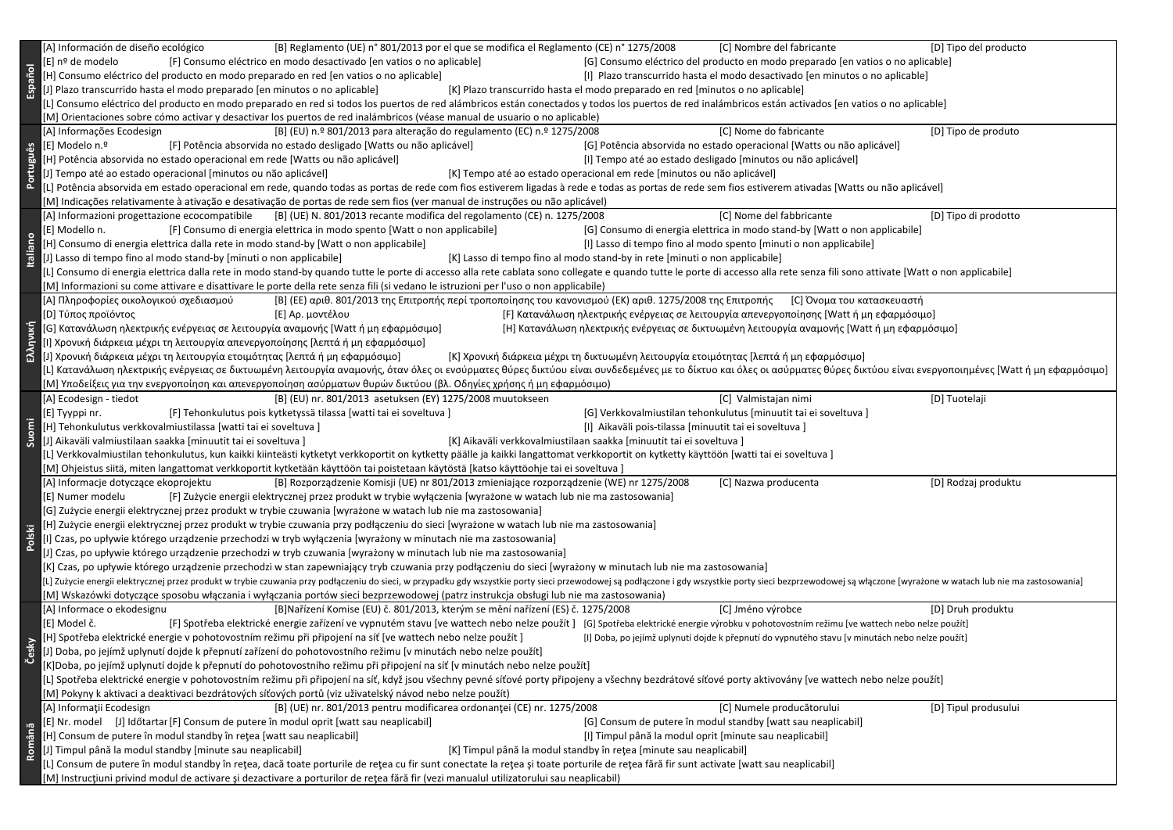| Español         | [B] Reglamento (UE) n° 801/2013 por el que se modifica el Reglamento (CE) n° 1275/2008<br>[A] Información de diseño ecológico<br>[C] Nombre del fabricante                                                                                                                                                                                                              | [D] Tipo del producto |  |  |  |  |
|-----------------|-------------------------------------------------------------------------------------------------------------------------------------------------------------------------------------------------------------------------------------------------------------------------------------------------------------------------------------------------------------------------|-----------------------|--|--|--|--|
|                 | [F] Consumo eléctrico en modo desactivado [en vatios o no aplicable]<br>[G] Consumo eléctrico del producto en modo preparado [en vatios o no aplicable]<br>[E] nº de modelo                                                                                                                                                                                             |                       |  |  |  |  |
|                 | [H] Consumo eléctrico del producto en modo preparado en red [en vatios o no aplicable]<br>[I] Plazo transcurrido hasta el modo desactivado [en minutos o no aplicable]                                                                                                                                                                                                  |                       |  |  |  |  |
|                 | [J] Plazo transcurrido hasta el modo preparado [en minutos o no aplicable]<br>[K] Plazo transcurrido hasta el modo preparado en red [minutos o no aplicable]                                                                                                                                                                                                            |                       |  |  |  |  |
|                 | [L] Consumo eléctrico del producto en modo preparado en red si todos los puertos de red alámbricos están conectados y todos los puertos de red inalámbricos están activados [en vatios o no aplicable]                                                                                                                                                                  |                       |  |  |  |  |
|                 | [M] Orientaciones sobre cómo activar y desactivar los puertos de red inalámbricos (véase manual de usuario o no aplicable)                                                                                                                                                                                                                                              |                       |  |  |  |  |
|                 | [C] Nome do fabricante<br>[B] (EU) n.º 801/2013 para alteração do regulamento (EC) n.º 1275/2008<br>[A] Informações Ecodesign                                                                                                                                                                                                                                           | [D] Tipo de produto   |  |  |  |  |
|                 | [G] Potência absorvida no estado operacional [Watts ou não aplicável]<br>[E] Modelo n.º<br>[F] Potência absorvida no estado desligado [Watts ou não aplicável]                                                                                                                                                                                                          |                       |  |  |  |  |
|                 | [H] Potência absorvida no estado operacional em rede [Watts ou não aplicável]<br>[I] Tempo até ao estado desligado [minutos ou não aplicável]                                                                                                                                                                                                                           |                       |  |  |  |  |
| Português       | [J] Tempo até ao estado operacional [minutos ou não aplicável]<br>[K] Tempo até ao estado operacional em rede [minutos ou não aplicável]                                                                                                                                                                                                                                |                       |  |  |  |  |
|                 | [L] Potência absorvida em estado operacional em rede, quando todas as portas de rede com fios estiverem ligadas à rede e todas as portas de rede sem fios estiverem ativadas [Watts ou não aplicável]                                                                                                                                                                   |                       |  |  |  |  |
|                 | [M] Indicações relativamente à ativação e desativação de portas de rede sem fios (ver manual de instruções ou não aplicável)                                                                                                                                                                                                                                            |                       |  |  |  |  |
|                 | [C] Nome del fabbricante<br>[A] Informazioni progettazione ecocompatibile [B] (UE) N. 801/2013 recante modifica del regolamento (CE) n. 1275/2008                                                                                                                                                                                                                       | [D] Tipo di prodotto  |  |  |  |  |
|                 | [F] Consumo di energia elettrica in modo spento [Watt o non applicabile]<br>[E] Modello n.<br>[G] Consumo di energia elettrica in modo stand-by [Watt o non applicabile]                                                                                                                                                                                                |                       |  |  |  |  |
|                 | [H] Consumo di energia elettrica dalla rete in modo stand-by [Watt o non applicabile]<br>[I] Lasso di tempo fino al modo spento [minuti o non applicabile]                                                                                                                                                                                                              |                       |  |  |  |  |
| <b>Italiano</b> | [J] Lasso di tempo fino al modo stand-by [minuti o non applicabile]<br>[K] Lasso di tempo fino al modo stand-by in rete [minuti o non applicabile]                                                                                                                                                                                                                      |                       |  |  |  |  |
|                 | [L] Consumo di energia elettrica dalla rete in modo stand-by quando tutte le porte di accesso alla rete cablata sono collegate e quando tutte le porte di accesso alla rete senza fili sono attivate [Watt o non applicabile]                                                                                                                                           |                       |  |  |  |  |
|                 | [M] Informazioni su come attivare e disattivare le porte della rete senza fili (si vedano le istruzioni per l'uso o non applicabile)                                                                                                                                                                                                                                    |                       |  |  |  |  |
|                 | [Α] Πληροφορίες οικολογικού σχεδιασμού<br>[B] (ΕΕ) αριθ. 801/2013 της Επιτροπής περί τροποποίησης του κανονισμού (ΕΚ) αριθ. 1275/2008 της Επιτροπής [C] Όνομα του κατασκευαστή                                                                                                                                                                                          |                       |  |  |  |  |
|                 | [F] Κατανάλωση ηλεκτρικής ενέργειας σε λειτουργία απενεργοποίησης [Watt ή μη εφαρμόσιμο]<br>[D] Τύπος προϊόντος<br>[E] Αρ. μοντέλου                                                                                                                                                                                                                                     |                       |  |  |  |  |
|                 | [G] Κατανάλωση ηλεκτρικής ενέργειας σε λειτουργία αναμονής [Watt ή μη εφαρμόσιμο]<br>[Η] Κατανάλωση ηλεκτρικής ενέργειας σε δικτυωμένη λειτουργία αναμονής [Watt ή μη εφαρμόσιμο]                                                                                                                                                                                       |                       |  |  |  |  |
| Ελληνική        | [Ι] Χρονική διάρκεια μέχρι τη λειτουργία απενεργοποίησης [λεπτά ή μη εφαρμόσιμο]                                                                                                                                                                                                                                                                                        |                       |  |  |  |  |
|                 | [J] Χρονική διάρκεια μέχρι τη λειτουργία ετοιμότητας [λεπτά ή μη εφαρμόσιμο]<br>[Κ] Χρονική διάρκεια μέχρι τη δικτυωμένη λειτουργία ετοιμότητας [λεπτά ή μη εφαρμόσιμο]                                                                                                                                                                                                 |                       |  |  |  |  |
|                 | [L] Κατανάλωση ηλεκτρικής ενέργειας σε δικτυωμένη λειτουργία αναμονής, όταν όλες οι ενσύρματες θύρες δικτύου είναι συνδεδεμένες με το δίκτυο και όλες οι ασύρματες θύρες δικτύου είναι ενεργοποιημένες [Watt ή μη εφαρμόσιμο]                                                                                                                                           |                       |  |  |  |  |
|                 | [Μ] Υποδείξεις για την ενεργοποίηση και απενεργοποίηση ασύρματων θυρών δικτύου (βλ. Οδηγίες χρήσης ή μη εφαρμόσιμο)                                                                                                                                                                                                                                                     |                       |  |  |  |  |
|                 | [A] Ecodesign - tiedot<br>[B] (EU) nr. 801/2013 asetuksen (EY) 1275/2008 muutokseen<br>[C] Valmistajan nimi                                                                                                                                                                                                                                                             | [D] Tuotelaji         |  |  |  |  |
|                 | [F] Tehonkulutus pois kytketyssä tilassa [watti tai ei soveltuva ]<br>[G] Verkkovalmiustilan tehonkulutus [minuutit tai ei soveltuva]<br>[E] Tyyppi nr.                                                                                                                                                                                                                 |                       |  |  |  |  |
| Suomi           | [H] Tehonkulutus verkkovalmiustilassa [watti tai ei soveltuva]<br>[I] Aikaväli pois-tilassa [minuutit tai ei soveltuva]                                                                                                                                                                                                                                                 |                       |  |  |  |  |
|                 | [J] Aikaväli valmiustilaan saakka [minuutit tai ei soveltuva]<br>[K] Aikaväli verkkovalmiustilaan saakka [minuutit tai ei soveltuva]                                                                                                                                                                                                                                    |                       |  |  |  |  |
|                 | [L] Verkkovalmiustilan tehonkulutus, kun kaikki kiinteästi kytketyt verkkoportit on kytketty päälle ja kaikki langattomat verkkoportit on kytketty käyttöön [watti tai ei soveltuva]                                                                                                                                                                                    |                       |  |  |  |  |
|                 | [M] Ohjeistus siitä, miten langattomat verkkoportit kytketään käyttöön tai poistetaan käytöstä [katso käyttöohje tai ei soveltuva]                                                                                                                                                                                                                                      |                       |  |  |  |  |
|                 | [B] Rozporządzenie Komisji (UE) nr 801/2013 zmieniające rozporządzenie (WE) nr 1275/2008<br>[C] Nazwa producenta<br>[A] Informacje dotyczące ekoprojektu                                                                                                                                                                                                                | [D] Rodzaj produktu   |  |  |  |  |
|                 | [F] Zużycie energii elektrycznej przez produkt w trybie wyłączenia [wyrażone w watach lub nie ma zastosowania]<br>[E] Numer modelu                                                                                                                                                                                                                                      |                       |  |  |  |  |
|                 | [G] Zużycie energii elektrycznej przez produkt w trybie czuwania [wyrażone w watach lub nie ma zastosowania]                                                                                                                                                                                                                                                            |                       |  |  |  |  |
| Ë.              | [H] Zużycie energii elektrycznej przez produkt w trybie czuwania przy podłączeniu do sieci [wyrażone w watach lub nie ma zastosowania]                                                                                                                                                                                                                                  |                       |  |  |  |  |
| Pols            | [I] Czas, po upływie którego urządzenie przechodzi w tryb wyłączenia [wyrażony w minutach nie ma zastosowania]                                                                                                                                                                                                                                                          |                       |  |  |  |  |
|                 | [J] Czas, po upływie którego urządzenie przechodzi w tryb czuwania [wyrażony w minutach lub nie ma zastosowania]                                                                                                                                                                                                                                                        |                       |  |  |  |  |
|                 | [K] Czas, po upływie którego urządzenie przechodzi w stan zapewniający tryb czuwania przy podłączeniu do sieci [wyrażony w minutach lub nie ma zastosowania]                                                                                                                                                                                                            |                       |  |  |  |  |
|                 | [L] Zużycie energii elektrycznej przez produkt w trybie czuwania przy podłączeniu do sieci, w przypadku gdy wszystkie porty sieci przewodowej są podłączone i gdy wszystkie porty sieci bezprzewodowej są włączone [wyrażone w<br>[M] Wskazówki dotyczące sposobu włączania i wyłączania portów sieci bezprzewodowej (patrz instrukcja obsługi lub nie ma zastosowania) |                       |  |  |  |  |
|                 | [A] Informace o ekodesignu<br>[B]Nařízení Komise (EU) č. 801/2013, kterým se mění nařízení (ES) č. 1275/2008<br>[C] Jméno výrobce                                                                                                                                                                                                                                       | [D] Druh produktu     |  |  |  |  |
|                 | [E] Model č.<br>[F] Spotřeba elektrické energie zařízení ve vypnutém stavu [ve wattech nebo nelze použít] [G] Spotřeba elektrické energie výrobku v pohotovostním režimu [ve wattech nebo nelze použít]                                                                                                                                                                 |                       |  |  |  |  |
|                 | [H] Spotřeba elektrické energie v pohotovostním režimu při připojení na síť [ve wattech nebo nelze použít]<br>[I] Doba, po jejímž uplynutí dojde k přepnutí do vypnutého stavu [v minutách nebo nelze použít]                                                                                                                                                           |                       |  |  |  |  |
| Česky           | [J] Doba, po jejímž uplynutí dojde k přepnutí zařízení do pohotovostního režimu [v minutách nebo nelze použít]                                                                                                                                                                                                                                                          |                       |  |  |  |  |
|                 | K]Doba, po jejímž uplynutí dojde k přepnutí do pohotovostního režimu při připojení na síť [v minutách nebo nelze použít]                                                                                                                                                                                                                                                |                       |  |  |  |  |
|                 | [L] Spotřeba elektrické energie v pohotovostním režimu při připojení na síť, když jsou všechny pevné síťové porty připojeny a všechny bezdrátové síťové porty aktivovány [ve wattech nebo nelze použít]                                                                                                                                                                 |                       |  |  |  |  |
|                 | [M] Pokyny k aktivaci a deaktivaci bezdrátových síťových portů (viz uživatelský návod nebo nelze použít)                                                                                                                                                                                                                                                                |                       |  |  |  |  |
| Română          | [B] (UE) nr. 801/2013 pentru modificarea ordonanței (CE) nr. 1275/2008<br>[C] Numele producătorului<br>[A] Informații Ecodesign                                                                                                                                                                                                                                         | [D] Tipul produsului  |  |  |  |  |
|                 | [E] Nr. model [J] Időtartar [F] Consum de putere în modul oprit [watt sau neaplicabil]<br>[G] Consum de putere în modul standby [watt sau neaplicabil]                                                                                                                                                                                                                  |                       |  |  |  |  |
|                 | [H] Consum de putere în modul standby în rețea [watt sau neaplicabil]<br>[I] Timpul până la modul oprit [minute sau neaplicabil]                                                                                                                                                                                                                                        |                       |  |  |  |  |
|                 | [J] Timpul până la modul standby [minute sau neaplicabil]<br>[K] Timpul până la modul standby în rețea [minute sau neaplicabil]                                                                                                                                                                                                                                         |                       |  |  |  |  |
|                 | [L] Consum de putere în modul standby în rețea, dacă toate porturile de rețea cu fir sunt conectate la rețea și toate porturile de rețea fără fir sunt activate [watt sau neaplicabil]                                                                                                                                                                                  |                       |  |  |  |  |
|                 | [M] Instrucțiuni privind modul de activare și dezactivare a porturilor de rețea fără fir (vezi manualul utilizatorului sau neaplicabil)                                                                                                                                                                                                                                 |                       |  |  |  |  |